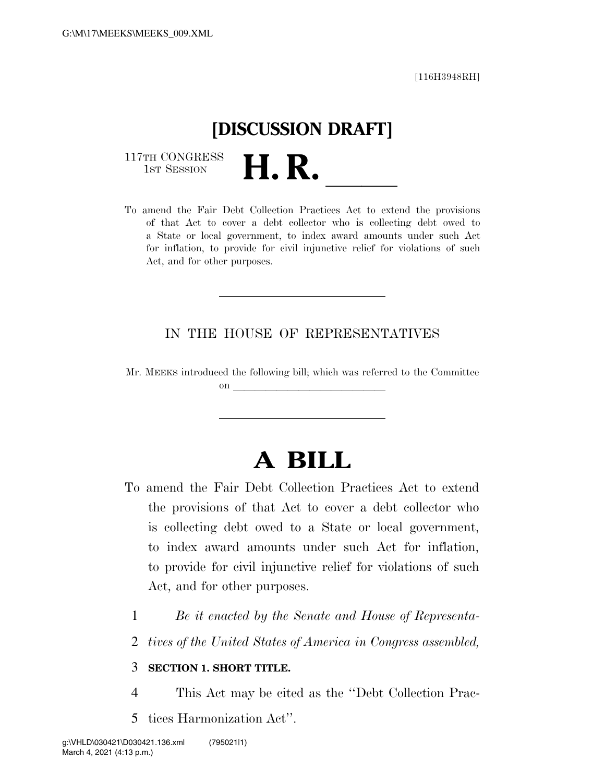

117TH CONGRESS<br>1st Session

117TH CONGRESS<br>1st SESSION **H. R.** <u>Internatives Act to extend the provisions</u> of that Act to cover a debt collector who is collecting debt owed to a State or local government, to index award amounts under such Act for inflation, to provide for civil injunctive relief for violations of such Act, and for other purposes.

#### IN THE HOUSE OF REPRESENTATIVES

Mr. MEEKS introduced the following bill; which was referred to the Committee on  $\overline{\qquad \qquad }$ 

# **A BILL**

- To amend the Fair Debt Collection Practices Act to extend the provisions of that Act to cover a debt collector who is collecting debt owed to a State or local government, to index award amounts under such Act for inflation, to provide for civil injunctive relief for violations of such Act, and for other purposes.
	- 1 *Be it enacted by the Senate and House of Representa-*
	- 2 *tives of the United States of America in Congress assembled,*

#### 3 **SECTION 1. SHORT TITLE.**

- 4 This Act may be cited as the ''Debt Collection Prac-
- 5 tices Harmonization Act''.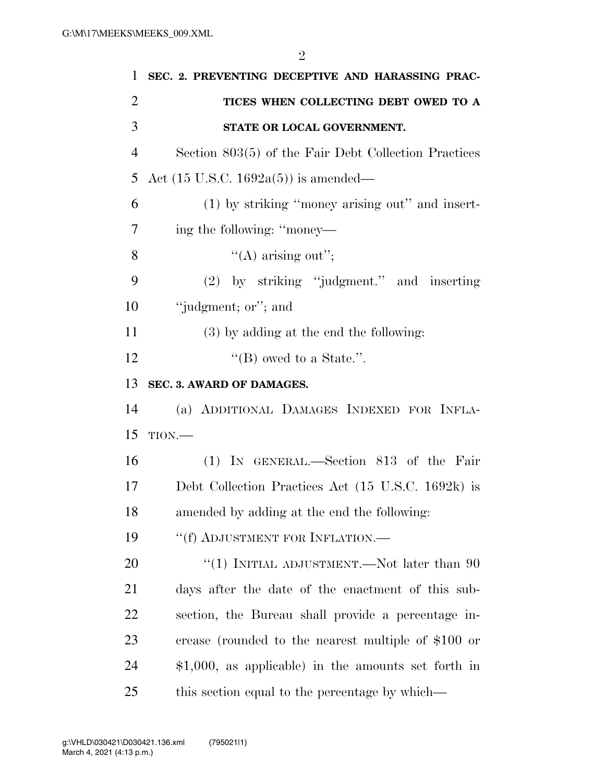| 1              | SEC. 2. PREVENTING DECEPTIVE AND HARASSING PRAC-      |
|----------------|-------------------------------------------------------|
| $\overline{2}$ | TICES WHEN COLLECTING DEBT OWED TO A                  |
| 3              | STATE OR LOCAL GOVERNMENT.                            |
| $\overline{4}$ | Section 803(5) of the Fair Debt Collection Practices  |
| 5              | Act $(15 \text{ U.S.C. } 1692a(5))$ is amended—       |
| 6              | (1) by striking "money arising out" and insert-       |
| 7              | ing the following: "money—                            |
| 8              | $\lq\lq$ arising out";                                |
| 9              | (2) by striking "judgment." and inserting             |
| 10             | "judgment; or"; and                                   |
| 11             | $(3)$ by adding at the end the following:             |
| 12             | "(B) owed to a State.".                               |
| 13             | SEC. 3. AWARD OF DAMAGES.                             |
| 14             | (a) ADDITIONAL DAMAGES INDEXED FOR INFLA-             |
| 15             | TION.                                                 |
| 16             | (1) IN GENERAL.—Section 813 of the Fair               |
| 17             | Debt Collection Practices Act (15 U.S.C. 1692k) is    |
| 18             | amended by adding at the end the following:           |
| 19             | "(f) ADJUSTMENT FOR INFLATION.—                       |
| 20             | "(1) INITIAL ADJUSTMENT.—Not later than $90$          |
| 21             | days after the date of the enactment of this sub-     |
| 22             | section, the Bureau shall provide a percentage in-    |
| 23             | crease (rounded to the nearest multiple of \$100 or   |
| 24             | $$1,000$ , as applicable) in the amounts set forth in |
| 25             | this section equal to the percentage by which—        |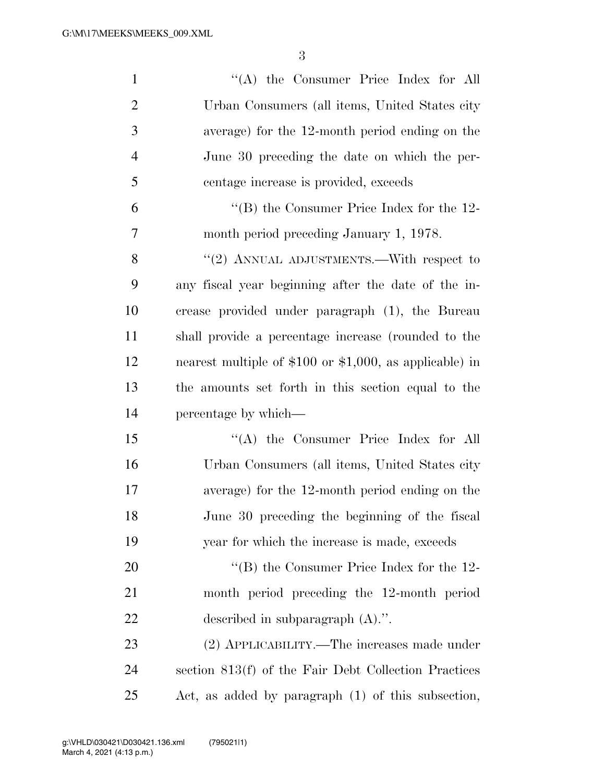| $\mathbf{1}$   | "(A) the Consumer Price Index for All                      |
|----------------|------------------------------------------------------------|
| $\overline{2}$ | Urban Consumers (all items, United States city             |
| 3              | average) for the 12-month period ending on the             |
| $\overline{4}$ | June 30 preceding the date on which the per-               |
| 5              | centage increase is provided, exceeds                      |
| 6              | "(B) the Consumer Price Index for the $12$ -               |
| 7              | month period preceding January 1, 1978.                    |
| 8              | "(2) ANNUAL ADJUSTMENTS.—With respect to                   |
| 9              | any fiscal year beginning after the date of the in-        |
| 10             | crease provided under paragraph (1), the Bureau            |
| 11             | shall provide a percentage increase (rounded to the        |
| 12             | nearest multiple of $$100$ or $$1,000$ , as applicable) in |
| 13             | the amounts set forth in this section equal to the         |
| 14             | percentage by which—                                       |
| 15             | "(A) the Consumer Price Index for All                      |
| 16             | Urban Consumers (all items, United States city             |
| 17             | average) for the 12-month period ending on the             |
| 18             | June 30 preceding the beginning of the fiscal              |
| 19             | year for which the increase is made, exceeds               |
| 20             | "(B) the Consumer Price Index for the $12$ -               |
| 21             | month period preceding the 12-month period                 |
| 22             | described in subparagraph $(A)$ .".                        |
| 23             | (2) APPLICABILITY.—The increases made under                |
| 24             | section 813(f) of the Fair Debt Collection Practices       |
| 25             | Act, as added by paragraph (1) of this subsection,         |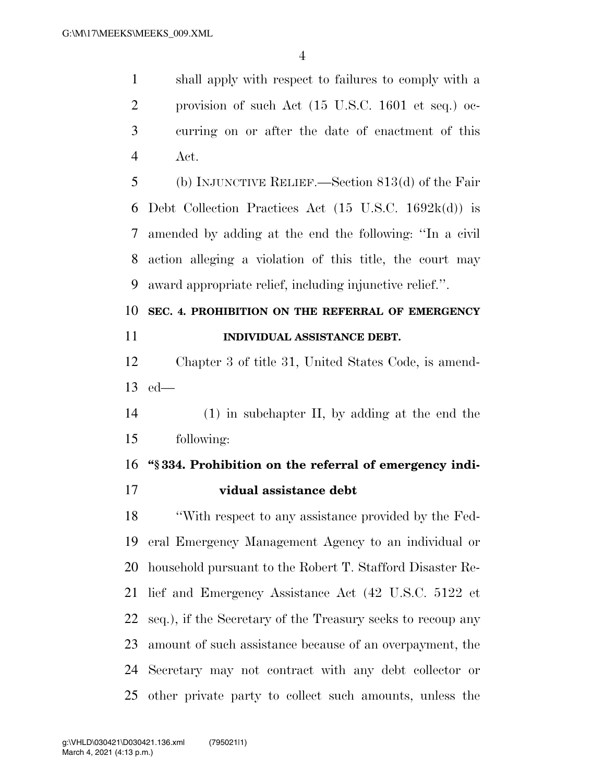shall apply with respect to failures to comply with a provision of such Act (15 U.S.C. 1601 et seq.) oc- curring on or after the date of enactment of this Act.

 (b) INJUNCTIVE RELIEF.—Section 813(d) of the Fair Debt Collection Practices Act (15 U.S.C. 1692k(d)) is amended by adding at the end the following: ''In a civil action alleging a violation of this title, the court may award appropriate relief, including injunctive relief.''.

## **SEC. 4. PROHIBITION ON THE REFERRAL OF EMERGENCY INDIVIDUAL ASSISTANCE DEBT.**

 Chapter 3 of title 31, United States Code, is amend-ed—

 (1) in subchapter II, by adding at the end the following:

### **''§ 334. Prohibition on the referral of emergency indi-**

**vidual assistance debt** 

 ''With respect to any assistance provided by the Fed- eral Emergency Management Agency to an individual or household pursuant to the Robert T. Stafford Disaster Re- lief and Emergency Assistance Act (42 U.S.C. 5122 et seq.), if the Secretary of the Treasury seeks to recoup any amount of such assistance because of an overpayment, the Secretary may not contract with any debt collector or other private party to collect such amounts, unless the